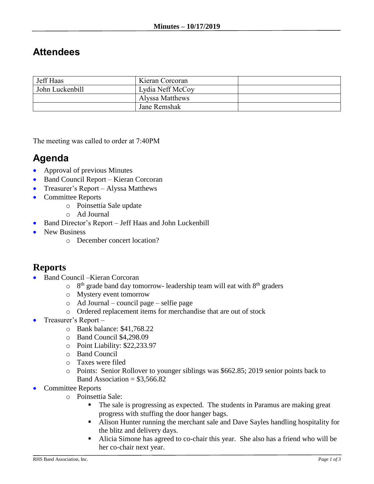## **Attendees**

| <b>Jeff Haas</b> | Kieran Corcoran  |  |
|------------------|------------------|--|
| John Luckenbill  | Lydia Neff McCoy |  |
|                  | Alyssa Matthews  |  |
|                  | Jane Remshak     |  |

The meeting was called to order at 7:40PM

## **Agenda**

- Approval of previous Minutes
- Band Council Report Kieran Corcoran
- Treasurer's Report Alyssa Matthews
- Committee Reports
	- o Poinsettia Sale update
	- o Ad Journal
- Band Director's Report Jeff Haas and John Luckenbill
- New Business
	- o December concert location?

## **Reports**

- Band Council Kieran Corcoran
	- $\circ$  8<sup>th</sup> grade band day tomorrow- leadership team will eat with 8<sup>th</sup> graders
	- o Mystery event tomorrow
	- o Ad Journal council page selfie page
	- o Ordered replacement items for merchandise that are out of stock
- Treasurer's Report
	- o Bank balance: \$41,768.22
	- o Band Council \$4,298.09
	- o Point Liability: \$22,233.97
	- o Band Council
	- o Taxes were filed
	- o Points: Senior Rollover to younger siblings was \$662.85; 2019 senior points back to Band Association =  $$3,566.82$
- Committee Reports
	- o Poinsettia Sale:
		- The sale is progressing as expected. The students in Paramus are making great progress with stuffing the door hanger bags.
		- Alison Hunter running the merchant sale and Dave Sayles handling hospitality for the blitz and delivery days.
		- Alicia Simone has agreed to co-chair this year. She also has a friend who will be her co-chair next year.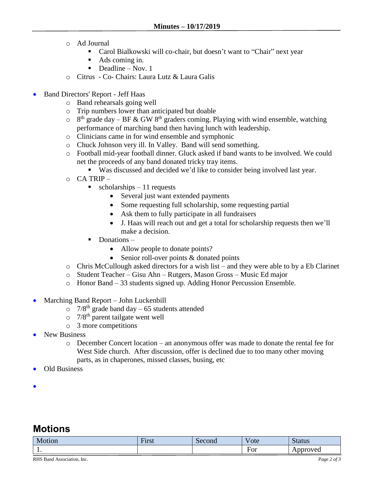- o Ad Journal
	- Carol Bialkowski will co-chair, but doesn't want to "Chair" next year
	- Ads coming in.
	- $\blacksquare$  Deadline Nov. 1
- o Citrus Co- Chairs: Laura Lutz & Laura Galis
- Band Directors' Report Jeff Haas
	- o Band rehearsals going well
	- o Trip numbers lower than anticipated but doable
	- $\circ$  8<sup>th</sup> grade day BF & GW 8<sup>th</sup> graders coming. Playing with wind ensemble, watching performance of marching band then having lunch with leadership.
	- o Clinicians came in for wind ensemble and symphonic
	- o Chuck Johnson very ill. In Valley. Band will send something.
	- o Football mid-year football dinner. Gluck asked if band wants to be involved. We could net the proceeds of any band donated tricky tray items.
		- Was discussed and decided we'd like to consider being involved last year.
	- o CA TRIP
		- $\blacksquare$  scholarships 11 requests
			- Several just want extended payments
			- Some requesting full scholarship, some requesting partial
			- Ask them to fully participate in all fundraisers
			- J. Haas will reach out and get a total for scholarship requests then we'll make a decision.
			- Donations
				- Allow people to donate points?
				- Senior roll-over points & donated points
	- o Chris McCullough asked directors for a wish list and they were able to by a Eb Clarinet
	- o Student Teacher Gisu Ahn Rutgers, Mason Gross Music Ed major
	- o Honor Band 33 students signed up. Adding Honor Percussion Ensemble.
- Marching Band Report John Luckenbill
	- $\degree$  7/8<sup>th</sup> grade band day 65 students attended
	- $\circ$  7/8<sup>th</sup> parent tailgate went well
	- o 3 more competitions
- New Business
	- o December Concert location an anonymous offer was made to donate the rental fee for West Side church. After discussion, offer is declined due to too many other moving parts, as in chaperones, missed classes, busing, etc
- Old Business
- $\bullet$

## **Motions**

| Motion | $\overline{\phantom{a}}$<br><b>LAMBOY</b><br>'11 S L | Second | $ -$<br>ote | $-0.117$<br>pialus |
|--------|------------------------------------------------------|--------|-------------|--------------------|
| . .    |                                                      |        | For         | mroved<br>'Y Cu    |